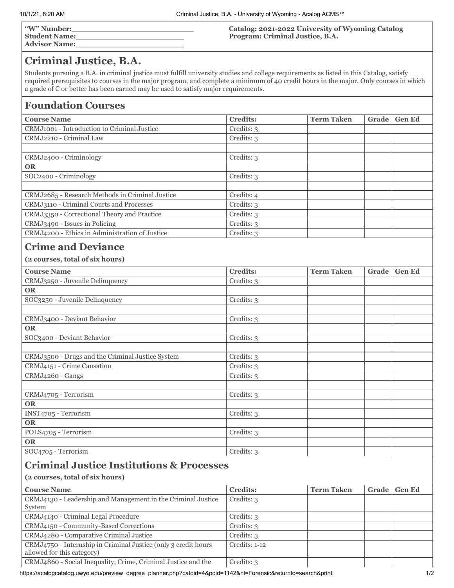| <b><i>"W"</i> Number:</b> | Catalog: 2021-2022 University of Wyoming Catalog |
|---------------------------|--------------------------------------------------|
| <b>Student Name:</b>      | Program: Criminal Justice, B.A.                  |
| <b>Advisor Name:</b>      |                                                  |

## **Criminal Justice, B.A.**

Students pursuing a B.A. in criminal justice must fulfill university studies and college requirements as listed in this Catalog, satisfy required prerequisites to courses in the major program, and complete a minimum of 40 credit hours in the major. Only courses in which a grade of C or better has been earned may be used to satisfy major requirements.

### **Foundation Courses**

| <b>Course Name</b>                                           | <b>Credits:</b> | <b>Term Taken</b> | <b>Grade</b> | <b>Gen Ed</b> |  |  |
|--------------------------------------------------------------|-----------------|-------------------|--------------|---------------|--|--|
| CRMJ1001 - Introduction to Criminal Justice                  | Credits: 3      |                   |              |               |  |  |
| CRMJ2210 - Criminal Law                                      | Credits: 3      |                   |              |               |  |  |
|                                                              |                 |                   |              |               |  |  |
| CRMJ2400 - Criminology                                       | Credits: 3      |                   |              |               |  |  |
| <b>OR</b>                                                    |                 |                   |              |               |  |  |
| SOC2400 - Criminology                                        | Credits: 3      |                   |              |               |  |  |
|                                                              |                 |                   |              |               |  |  |
| CRMJ2685 - Research Methods in Criminal Justice              | Credits: 4      |                   |              |               |  |  |
| CRMJ3110 - Criminal Courts and Processes                     | Credits: 3      |                   |              |               |  |  |
| CRMJ3350 - Correctional Theory and Practice                  | Credits: 3      |                   |              |               |  |  |
| CRMJ3490 - Issues in Policing                                | Credits: 3      |                   |              |               |  |  |
| CRMJ4200 - Ethics in Administration of Justice               | Credits: 3      |                   |              |               |  |  |
| <b>Crime and Deviance</b><br>(2 courses, total of six hours) |                 |                   |              |               |  |  |
| <b>Course Name</b>                                           | <b>Credits:</b> | <b>Term Taken</b> | Grade        | <b>Gen Ed</b> |  |  |
| CRMJ3250 - Juvenile Delinquency                              | Credits: 3      |                   |              |               |  |  |
| <b>OR</b>                                                    |                 |                   |              |               |  |  |
| SOC3250 - Juvenile Delinquency                               | Credits: 3      |                   |              |               |  |  |
|                                                              |                 |                   |              |               |  |  |
| CRMJ3400 - Deviant Behavior                                  | Credits: 3      |                   |              |               |  |  |
| <b>OR</b>                                                    |                 |                   |              |               |  |  |
| SOC3400 - Deviant Behavior                                   | Credits: 3      |                   |              |               |  |  |
|                                                              |                 |                   |              |               |  |  |
| CRMJ3500 - Drugs and the Criminal Justice System             | Credits: 3      |                   |              |               |  |  |
| CRMJ4151 - Crime Causation                                   | Credits: 3      |                   |              |               |  |  |
| CRMJ4260 - Gangs                                             | Credits: 3      |                   |              |               |  |  |
|                                                              |                 |                   |              |               |  |  |
| CRMJ4705 - Terrorism                                         | Credits: 3      |                   |              |               |  |  |
| <b>OR</b>                                                    |                 |                   |              |               |  |  |
| INST4705 - Terrorism                                         | Credits: 3      |                   |              |               |  |  |
| <b>OR</b>                                                    |                 |                   |              |               |  |  |
| POLS4705 - Terrorism                                         | Credits: 3      |                   |              |               |  |  |
| <b>OR</b>                                                    |                 |                   |              |               |  |  |
| SOC4705 - Terrorism                                          | Credits: 3      |                   |              |               |  |  |

# **Criminal Justice Institutions & Processes**

#### **(2 courses, total of six hours)**

| <b>Course Name</b>                                             | <b>Credits:</b> | <b>Term Taken</b> | Grade | <b>Gen Ed</b> |
|----------------------------------------------------------------|-----------------|-------------------|-------|---------------|
| CRMJ4130 - Leadership and Management in the Criminal Justice   | Credits: 3      |                   |       |               |
| System                                                         |                 |                   |       |               |
| CRMJ4140 - Criminal Legal Procedure                            | Credits: 3      |                   |       |               |
| CRMJ4150 - Community-Based Corrections                         | Credits: 3      |                   |       |               |
| CRMJ4280 - Comparative Criminal Justice                        | Credits: 3      |                   |       |               |
| CRMJ4750 - Internship in Criminal Justice (only 3 credit hours | Credits: 1-12   |                   |       |               |
| allowed for this category)                                     |                 |                   |       |               |
| CRMJ4860 - Social Inequality, Crime, Criminal Justice and the  | Credits: 3      |                   |       |               |

https://acalogcatalog.uwyo.edu/preview\_degree\_planner.php?catoid=4&poid=1142&hl=Forensic&returnto=search&print 1/2